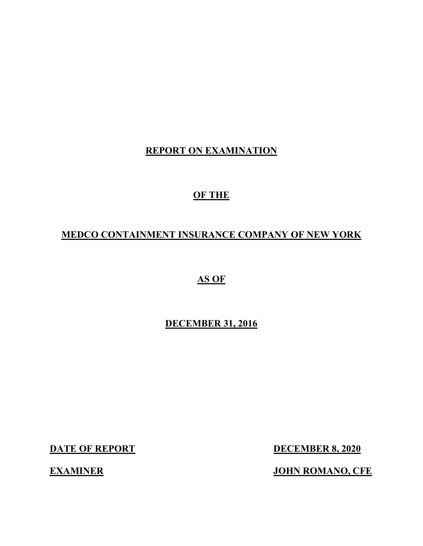## **REPORT ON EXAMINATION**

## **OF THE**

## **MEDCO CONTAINMENT INSURANCE COMPANY OF NEW YORK**

**AS OF**

## **DECEMBER 31, 2016**

**DATE OF REPORT DECEMBER 8, 2020** 

**EXAMINER JOHN ROMANO, CFE**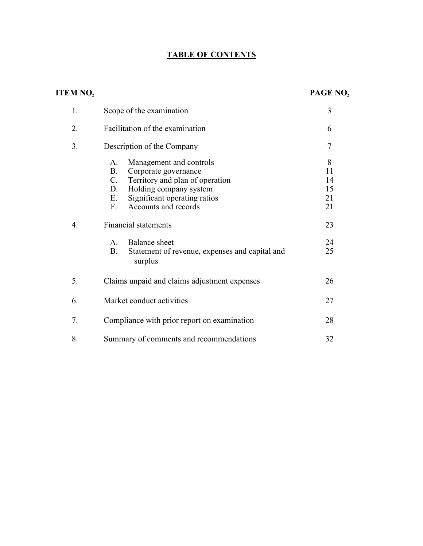## **TABLE OF CONTENTS**

## **ITEM NO. PAGE NO.**

| 1. | Scope of the examination                                                                                                                                                                                                 | 3                               |
|----|--------------------------------------------------------------------------------------------------------------------------------------------------------------------------------------------------------------------------|---------------------------------|
| 2. | Facilitation of the examination                                                                                                                                                                                          | 6                               |
| 3. | Description of the Company                                                                                                                                                                                               | 7                               |
|    | Management and controls<br>A.<br><b>B.</b><br>Corporate governance<br>$C_{\cdot}$<br>Territory and plan of operation<br>Holding company system<br>D.<br>Significant operating ratios<br>Ε.<br>Accounts and records<br>F. | 8<br>11<br>14<br>15<br>21<br>21 |
| 4. | <b>Financial statements</b>                                                                                                                                                                                              | 23                              |
|    | Balance sheet<br>$\mathsf{A}$ .<br><b>B.</b><br>Statement of revenue, expenses and capital and<br>surplus                                                                                                                | 24<br>25                        |
| 5. | Claims unpaid and claims adjustment expenses                                                                                                                                                                             | 26                              |
| 6. | Market conduct activities                                                                                                                                                                                                | 27                              |
| 7. | Compliance with prior report on examination                                                                                                                                                                              | 28                              |
| 8. | Summary of comments and recommendations                                                                                                                                                                                  | 32                              |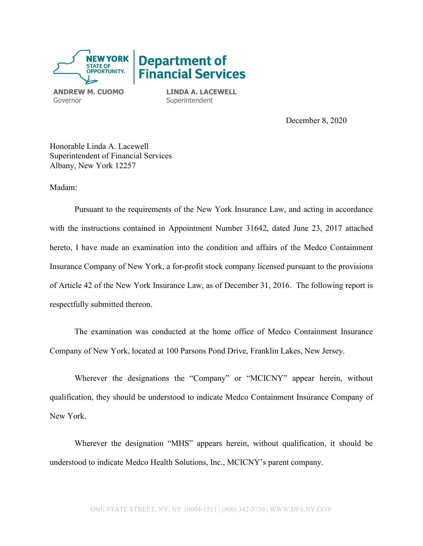

**ANDREW M. CUOMO** Governor

**LINDA A. LACEWELL Superintendent** 

December 8, 2020

Honorable Linda A. Lacewell Superintendent of Financial Services Albany, New York 12257

Madam:

Pursuant to the requirements of the New York Insurance Law, and acting in accordance with the instructions contained in Appointment Number 31642, dated June 23, 2017 attached hereto, I have made an examination into the condition and affairs of the Medco Containment Insurance Company of New York, a for-profit stock company licensed pursuant to the provisions of Article 42 of the New York Insurance Law, as of December 31, 2016. The following report is respectfully submitted thereon.

The examination was conducted at the home office of Medco Containment Insurance Company of New York, located at 100 Parsons Pond Drive, Franklin Lakes, New Jersey.

Wherever the designations the "Company" or "MCICNY" appear herein, without qualification, they should be understood to indicate Medco Containment Insurance Company of New York.

Wherever the designation "MHS" appears herein, without qualification, it should be understood to indicate Medco Health Solutions, Inc., MCICNY's parent company.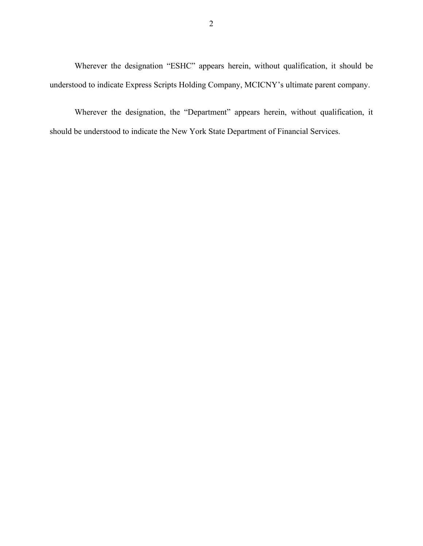Wherever the designation "ESHC" appears herein, without qualification, it should be understood to indicate Express Scripts Holding Company, MCICNY's ultimate parent company.

Wherever the designation, the "Department" appears herein, without qualification, it should be understood to indicate the New York State Department of Financial Services.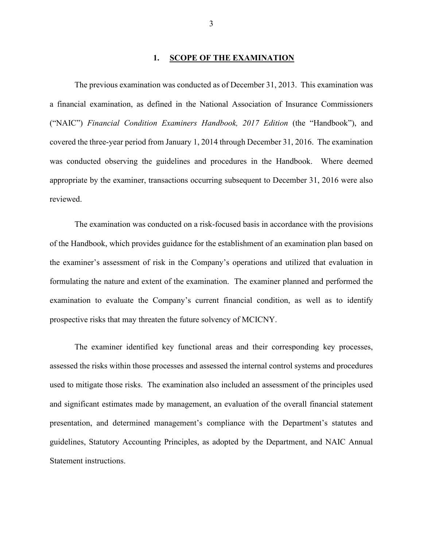#### **1. SCOPE OF THE EXAMINATION**

The previous examination was conducted as of December 31, 2013. This examination was a financial examination, as defined in the National Association of Insurance Commissioners ("NAIC") *Financial Condition Examiners Handbook, 2017 Edition* (the "Handbook"), and covered the three-year period from January 1, 2014 through December 31, 2016. The examination was conducted observing the guidelines and procedures in the Handbook. Where deemed appropriate by the examiner, transactions occurring subsequent to December 31, 2016 were also reviewed.

The examination was conducted on a risk-focused basis in accordance with the provisions of the Handbook, which provides guidance for the establishment of an examination plan based on the examiner's assessment of risk in the Company's operations and utilized that evaluation in formulating the nature and extent of the examination. The examiner planned and performed the examination to evaluate the Company's current financial condition, as well as to identify prospective risks that may threaten the future solvency of MCICNY.

The examiner identified key functional areas and their corresponding key processes, assessed the risks within those processes and assessed the internal control systems and procedures used to mitigate those risks. The examination also included an assessment of the principles used and significant estimates made by management, an evaluation of the overall financial statement presentation, and determined management's compliance with the Department's statutes and guidelines, Statutory Accounting Principles, as adopted by the Department, and NAIC Annual Statement instructions.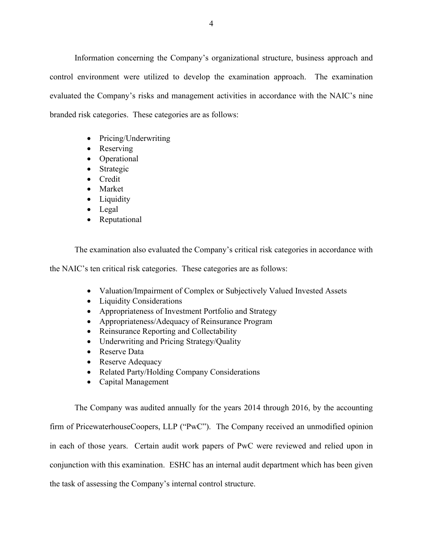Information concerning the Company's organizational structure, business approach and control environment were utilized to develop the examination approach. The examination evaluated the Company's risks and management activities in accordance with the NAIC's nine branded risk categories. These categories are as follows:

- Pricing/Underwriting
- Reserving
- Operational
- Strategic
- Credit
- Market
- Liquidity
- Legal
- Reputational

The examination also evaluated the Company's critical risk categories in accordance with

the NAIC's ten critical risk categories. These categories are as follows:

- Valuation/Impairment of Complex or Subjectively Valued Invested Assets
- Liquidity Considerations
- Appropriateness of Investment Portfolio and Strategy
- Appropriateness/Adequacy of Reinsurance Program
- Reinsurance Reporting and Collectability
- Underwriting and Pricing Strategy/Quality
- Reserve Data
- Reserve Adequacy
- Related Party/Holding Company Considerations
- Capital Management

The Company was audited annually for the years 2014 through 2016, by the accounting firm of PricewaterhouseCoopers, LLP ("PwC"). The Company received an unmodified opinion in each of those years. Certain audit work papers of PwC were reviewed and relied upon in conjunction with this examination. ESHC has an internal audit department which has been given the task of assessing the Company's internal control structure.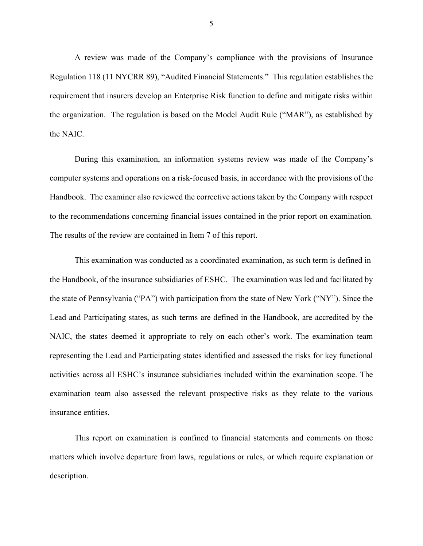A review was made of the Company's compliance with the provisions of Insurance Regulation 118 (11 NYCRR 89), "Audited Financial Statements." This regulation establishes the requirement that insurers develop an Enterprise Risk function to define and mitigate risks within the organization. The regulation is based on the Model Audit Rule ("MAR"), as established by the NAIC.

During this examination, an information systems review was made of the Company's computer systems and operations on a risk-focused basis, in accordance with the provisions of the Handbook. The examiner also reviewed the corrective actions taken by the Company with respect to the recommendations concerning financial issues contained in the prior report on examination. The results of the review are contained in Item 7 of this report.

This examination was conducted as a coordinated examination, as such term is defined in the Handbook, of the insurance subsidiaries of ESHC. The examination was led and facilitated by the state of Pennsylvania ("PA") with participation from the state of New York ("NY"). Since the Lead and Participating states, as such terms are defined in the Handbook, are accredited by the NAIC, the states deemed it appropriate to rely on each other's work. The examination team representing the Lead and Participating states identified and assessed the risks for key functional activities across all ESHC's insurance subsidiaries included within the examination scope. The examination team also assessed the relevant prospective risks as they relate to the various insurance entities.

This report on examination is confined to financial statements and comments on those matters which involve departure from laws, regulations or rules, or which require explanation or description.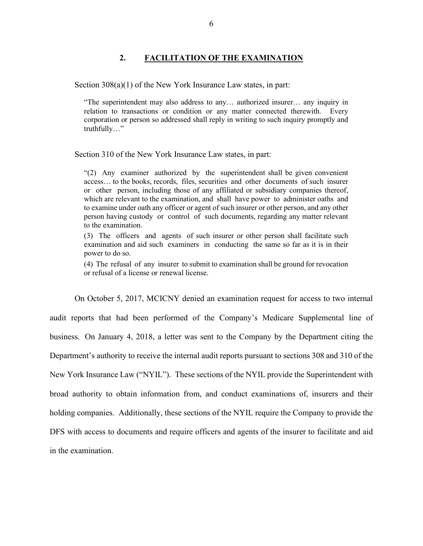#### **2. FACILITATION OF THE EXAMINATION**

Section 308(a)(1) of the New York Insurance Law states, in part:

"The superintendent may also address to any… authorized insurer… any inquiry in relation to transactions or condition or any matter connected therewith. Every corporation or person so addressed shall reply in writing to such inquiry promptly and truthfully…"

Section 310 of the New York Insurance Law states, in part:

"(2) Any examiner authorized by the superintendent shall be given convenient access… to the books, records, files, securities and other documents of such insurer or other person, including those of any affiliated or subsidiary companies thereof, which are relevant to the examination, and shall have power to administer oaths and to examine under oath any officer or agent of such insurer or other person, and any other person having custody or control of such documents, regarding any matter relevant to the examination.

(3) The officers and agents of such insurer or other person shall facilitate such examination and aid such examiners in conducting the same so far as it is in their power to do so.

(4) The refusal of any insurer to submit to examination shall be ground for revocation or refusal of a license or renewal license.

On October 5, 2017, MCICNY denied an examination request for access to two internal audit reports that had been performed of the Company's Medicare Supplemental line of business. On January 4, 2018, a letter was sent to the Company by the Department citing the Department's authority to receive the internal audit reports pursuant to sections 308 and 310 of the New York Insurance Law ("NYIL"). These sections of the NYIL provide the Superintendent with broad authority to obtain information from, and conduct examinations of, insurers and their holding companies. Additionally, these sections of the NYIL require the Company to provide the DFS with access to documents and require officers and agents of the insurer to facilitate and aid in the examination.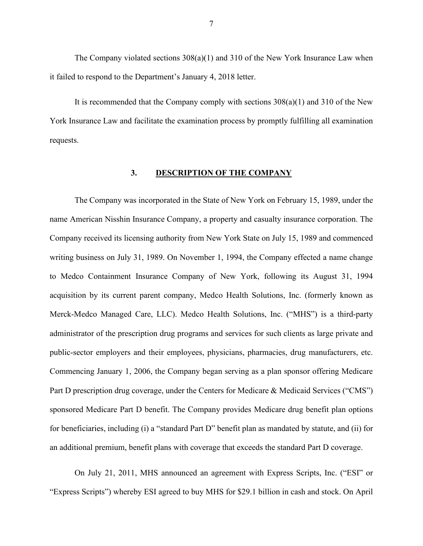The Company violated sections  $308(a)(1)$  and  $310$  of the New York Insurance Law when it failed to respond to the Department's January 4, 2018 letter.

It is recommended that the Company comply with sections  $308(a)(1)$  and  $310$  of the New York Insurance Law and facilitate the examination process by promptly fulfilling all examination requests.

#### **3. DESCRIPTION OF THE COMPANY**

The Company was incorporated in the State of New York on February 15, 1989, under the name American Nisshin Insurance Company, a property and casualty insurance corporation. The Company received its licensing authority from New York State on July 15, 1989 and commenced writing business on July 31, 1989. On November 1, 1994, the Company effected a name change to Medco Containment Insurance Company of New York, following its August 31, 1994 acquisition by its current parent company, Medco Health Solutions, Inc. (formerly known as Merck-Medco Managed Care, LLC). Medco Health Solutions, Inc. ("MHS") is a third-party administrator of the prescription drug programs and services for such clients as large private and public-sector employers and their employees, physicians, pharmacies, drug manufacturers, etc. Commencing January 1, 2006, the Company began serving as a plan sponsor offering Medicare Part D prescription drug coverage, under the Centers for Medicare & Medicaid Services ("CMS") sponsored Medicare Part D benefit. The Company provides Medicare drug benefit plan options for beneficiaries, including (i) a "standard Part D" benefit plan as mandated by statute, and (ii) for an additional premium, benefit plans with coverage that exceeds the standard Part D coverage.

On July 21, 2011, MHS announced an agreement with Express Scripts, Inc. ("ESI" or "Express Scripts") whereby ESI agreed to buy MHS for \$29.1 billion in cash and stock. On April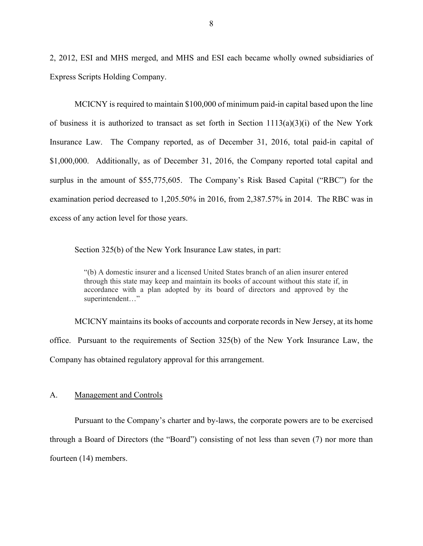2, 2012, ESI and MHS merged, and MHS and ESI each became wholly owned subsidiaries of Express Scripts Holding Company.

MCICNY is required to maintain \$100,000 of minimum paid-in capital based upon the line of business it is authorized to transact as set forth in Section  $1113(a)(3)(i)$  of the New York Insurance Law. The Company reported, as of December 31, 2016, total paid-in capital of \$1,000,000. Additionally, as of December 31, 2016, the Company reported total capital and surplus in the amount of \$55,775,605. The Company's Risk Based Capital ("RBC") for the examination period decreased to 1,205.50% in 2016, from 2,387.57% in 2014. The RBC was in excess of any action level for those years.

Section 325(b) of the New York Insurance Law states, in part:

"(b) A domestic insurer and a licensed United States branch of an alien insurer entered through this state may keep and maintain its books of account without this state if, in accordance with a plan adopted by its board of directors and approved by the superintendent…"

MCICNY maintains its books of accounts and corporate records in New Jersey, at its home office. Pursuant to the requirements of Section 325(b) of the New York Insurance Law, the Company has obtained regulatory approval for this arrangement.

#### A. Management and Controls

Pursuant to the Company's charter and by-laws, the corporate powers are to be exercised through a Board of Directors (the "Board") consisting of not less than seven (7) nor more than fourteen (14) members.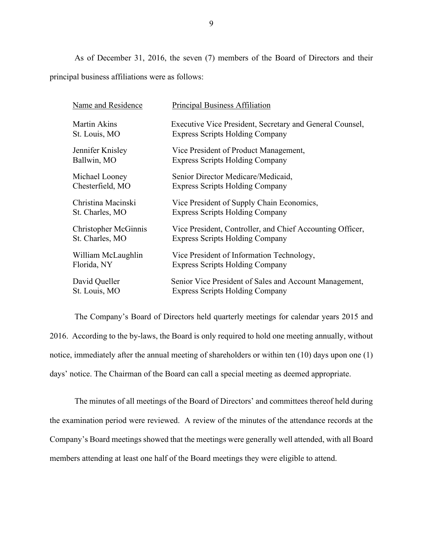As of December 31, 2016, the seven (7) members of the Board of Directors and their principal business affiliations were as follows:

| Name and Residence          | <b>Principal Business Affiliation</b>                     |
|-----------------------------|-----------------------------------------------------------|
| <b>Martin Akins</b>         | Executive Vice President, Secretary and General Counsel,  |
| St. Louis, MO               | <b>Express Scripts Holding Company</b>                    |
| Jennifer Knisley            | Vice President of Product Management,                     |
| Ballwin, MO                 | <b>Express Scripts Holding Company</b>                    |
| Michael Looney              | Senior Director Medicare/Medicaid,                        |
| Chesterfield, MO            | <b>Express Scripts Holding Company</b>                    |
| Christina Macinski          | Vice President of Supply Chain Economics,                 |
| St. Charles, MO             | <b>Express Scripts Holding Company</b>                    |
| <b>Christopher McGinnis</b> | Vice President, Controller, and Chief Accounting Officer, |
| St. Charles, MO             | <b>Express Scripts Holding Company</b>                    |
| William McLaughlin          | Vice President of Information Technology,                 |
| Florida, NY                 | <b>Express Scripts Holding Company</b>                    |
| David Queller               | Senior Vice President of Sales and Account Management,    |
| St. Louis, MO               | <b>Express Scripts Holding Company</b>                    |

The Company's Board of Directors held quarterly meetings for calendar years 2015 and 2016. According to the by-laws, the Board is only required to hold one meeting annually, without notice, immediately after the annual meeting of shareholders or within ten (10) days upon one (1) days' notice. The Chairman of the Board can call a special meeting as deemed appropriate.

The minutes of all meetings of the Board of Directors' and committees thereof held during the examination period were reviewed. A review of the minutes of the attendance records at the Company's Board meetings showed that the meetings were generally well attended, with all Board members attending at least one half of the Board meetings they were eligible to attend.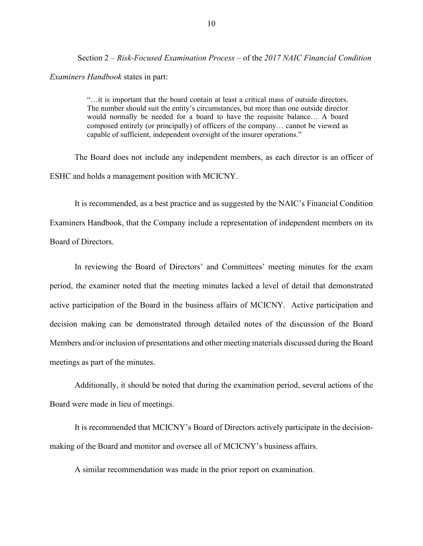Section 2 – *Risk-Focused Examination Process* – of the *2017 NAIC Financial Condition* 

#### *Examiners Handbook* states in part:

"…it is important that the board contain at least a critical mass of outside directors. The number should suit the entity's circumstances, but more than one outside director would normally be needed for a board to have the requisite balance… A board composed entirely (or principally) of officers of the company… cannot be viewed as capable of sufficient, independent oversight of the insurer operations."

The Board does not include any independent members, as each director is an officer of ESHC and holds a management position with MCICNY.

It is recommended, as a best practice and as suggested by the NAIC's Financial Condition Examiners Handbook, that the Company include a representation of independent members on its Board of Directors.

In reviewing the Board of Directors' and Committees' meeting minutes for the exam period, the examiner noted that the meeting minutes lacked a level of detail that demonstrated active participation of the Board in the business affairs of MCICNY. Active participation and decision making can be demonstrated through detailed notes of the discussion of the Board Members and/or inclusion of presentations and other meeting materials discussed during the Board meetings as part of the minutes.

Additionally, it should be noted that during the examination period, several actions of the Board were made in lieu of meetings.

It is recommended that MCICNY's Board of Directors actively participate in the decisionmaking of the Board and monitor and oversee all of MCICNY's business affairs.

A similar recommendation was made in the prior report on examination.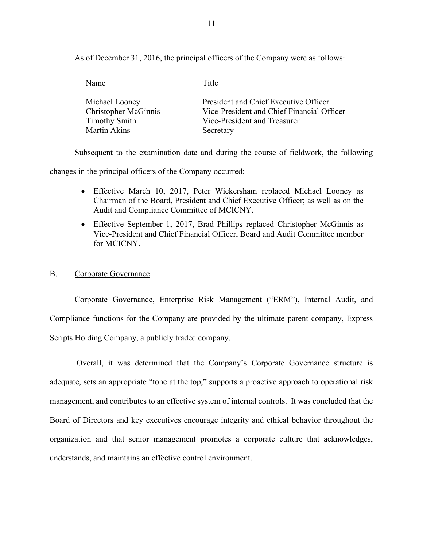As of December 31, 2016, the principal officers of the Company were as follows:

| Name                        | Title                                      |
|-----------------------------|--------------------------------------------|
| Michael Looney              | President and Chief Executive Officer      |
| <b>Christopher McGinnis</b> | Vice-President and Chief Financial Officer |
| <b>Timothy Smith</b>        | Vice-President and Treasurer               |
| Martin Akins                | Secretary                                  |

Subsequent to the examination date and during the course of fieldwork, the following

changes in the principal officers of the Company occurred:

- Effective March 10, 2017, Peter Wickersham replaced Michael Looney as Chairman of the Board, President and Chief Executive Officer; as well as on the Audit and Compliance Committee of MCICNY.
- Effective September 1, 2017, Brad Phillips replaced Christopher McGinnis as Vice-President and Chief Financial Officer, Board and Audit Committee member for MCICNY.

#### B. Corporate Governance

Corporate Governance, Enterprise Risk Management ("ERM"), Internal Audit, and Compliance functions for the Company are provided by the ultimate parent company, Express Scripts Holding Company, a publicly traded company.

Overall, it was determined that the Company's Corporate Governance structure is adequate, sets an appropriate "tone at the top," supports a proactive approach to operational risk management, and contributes to an effective system of internal controls. It was concluded that the Board of Directors and key executives encourage integrity and ethical behavior throughout the organization and that senior management promotes a corporate culture that acknowledges, understands, and maintains an effective control environment.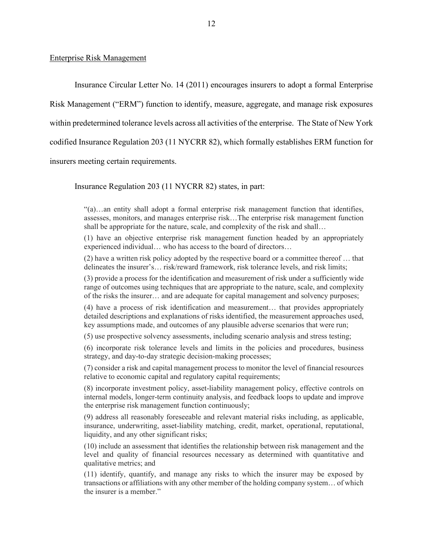#### Enterprise Risk Management

Insurance Circular Letter No. 14 (2011) encourages insurers to adopt a formal Enterprise Risk Management ("ERM") function to identify, measure, aggregate, and manage risk exposures within predetermined tolerance levels across all activities of the enterprise. The State of New York codified Insurance Regulation 203 (11 NYCRR 82), which formally establishes ERM function for insurers meeting certain requirements.

Insurance Regulation 203 (11 NYCRR 82) states, in part:

"(a)…an entity shall adopt a formal enterprise risk management function that identifies, assesses, monitors, and manages enterprise risk…The enterprise risk management function shall be appropriate for the nature, scale, and complexity of the risk and shall…

(1) have an objective enterprise risk management function headed by an appropriately experienced individual… who has access to the board of directors…

(2) have a written risk policy adopted by the respective board or a committee thereof … that delineates the insurer's… risk/reward framework, risk tolerance levels, and risk limits;

(3) provide a process for the identification and measurement of risk under a sufficiently wide range of outcomes using techniques that are appropriate to the nature, scale, and complexity of the risks the insurer… and are adequate for capital management and solvency purposes;

(4) have a process of risk identification and measurement… that provides appropriately detailed descriptions and explanations of risks identified, the measurement approaches used, key assumptions made, and outcomes of any plausible adverse scenarios that were run;

(5) use prospective solvency assessments, including scenario analysis and stress testing;

(6) incorporate risk tolerance levels and limits in the policies and procedures, business strategy, and day-to-day strategic decision-making processes;

(7) consider a risk and capital management process to monitor the level of financial resources relative to economic capital and regulatory capital requirements;

(8) incorporate investment policy, asset-liability management policy, effective controls on internal models, longer-term continuity analysis, and feedback loops to update and improve the enterprise risk management function continuously;

(9) address all reasonably foreseeable and relevant material risks including, as applicable, insurance, underwriting, asset-liability matching, credit, market, operational, reputational, liquidity, and any other significant risks;

(10) include an assessment that identifies the relationship between risk management and the level and quality of financial resources necessary as determined with quantitative and qualitative metrics; and

(11) identify, quantify, and manage any risks to which the insurer may be exposed by transactions or affiliations with any other member of the holding company system… of which the insurer is a member."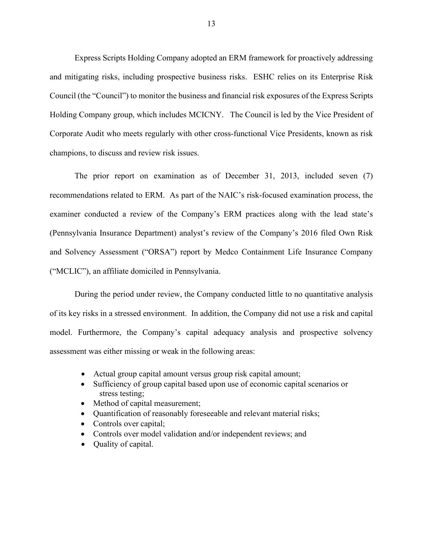Express Scripts Holding Company adopted an ERM framework for proactively addressing and mitigating risks, including prospective business risks. ESHC relies on its Enterprise Risk Council (the "Council") to monitor the business and financial risk exposures of the Express Scripts Holding Company group, which includes MCICNY. The Council is led by the Vice President of Corporate Audit who meets regularly with other cross-functional Vice Presidents, known as risk champions, to discuss and review risk issues.

The prior report on examination as of December 31, 2013, included seven (7) recommendations related to ERM. As part of the NAIC's risk-focused examination process, the examiner conducted a review of the Company's ERM practices along with the lead state's (Pennsylvania Insurance Department) analyst's review of the Company's 2016 filed Own Risk and Solvency Assessment ("ORSA") report by Medco Containment Life Insurance Company ("MCLIC"), an affiliate domiciled in Pennsylvania.

During the period under review, the Company conducted little to no quantitative analysis of its key risks in a stressed environment. In addition, the Company did not use a risk and capital model. Furthermore, the Company's capital adequacy analysis and prospective solvency assessment was either missing or weak in the following areas:

- Actual group capital amount versus group risk capital amount;
- Sufficiency of group capital based upon use of economic capital scenarios or stress testing;
- Method of capital measurement;
- Quantification of reasonably foreseeable and relevant material risks;
- Controls over capital;
- Controls over model validation and/or independent reviews; and
- Quality of capital.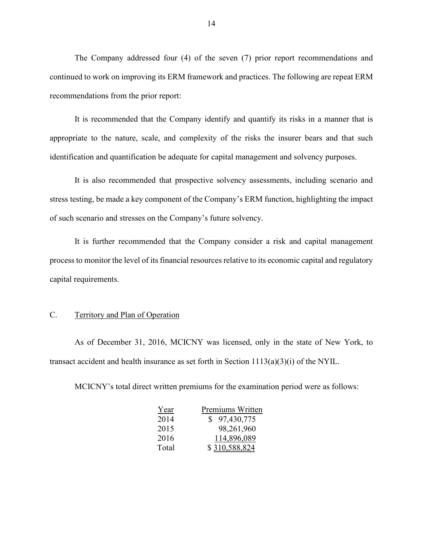The Company addressed four (4) of the seven (7) prior report recommendations and continued to work on improving its ERM framework and practices. The following are repeat ERM recommendations from the prior report:

It is recommended that the Company identify and quantify its risks in a manner that is appropriate to the nature, scale, and complexity of the risks the insurer bears and that such identification and quantification be adequate for capital management and solvency purposes.

It is also recommended that prospective solvency assessments, including scenario and stress testing, be made a key component of the Company's ERM function, highlighting the impact of such scenario and stresses on the Company's future solvency.

It is further recommended that the Company consider a risk and capital management process to monitor the level of its financial resources relative to its economic capital and regulatory capital requirements.

#### C. Territory and Plan of Operation

As of December 31, 2016, MCICNY was licensed, only in the state of New York, to transact accident and health insurance as set forth in Section  $1113(a)(3)(i)$  of the NYIL.

MCICNY's total direct written premiums for the examination period were as follows:

| Year  | Premiums Written |
|-------|------------------|
| 2014  | \$97,430,775     |
| 2015  | 98,261,960       |
| 2016  | 114,896,089      |
| Total | \$310,588,824    |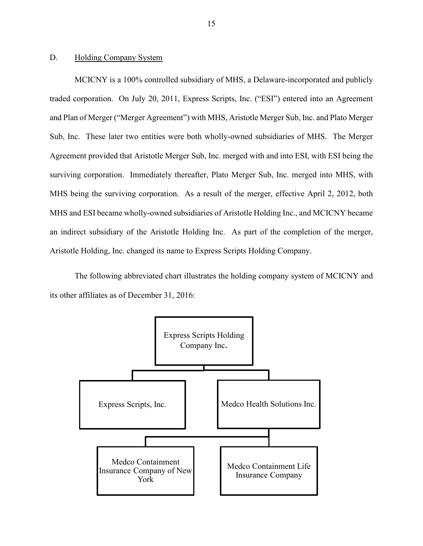#### D. Holding Company System

MCICNY is a 100% controlled subsidiary of MHS, a Delaware-incorporated and publicly traded corporation. On July 20, 2011, Express Scripts, Inc. ("ESI") entered into an Agreement and Plan of Merger ("Merger Agreement") with MHS, Aristotle Merger Sub, Inc. and Plato Merger Sub, Inc. These later two entities were both wholly-owned subsidiaries of MHS. The Merger Agreement provided that Aristotle Merger Sub, Inc. merged with and into ESI, with ESI being the surviving corporation. Immediately thereafter, Plato Merger Sub, Inc. merged into MHS, with MHS being the surviving corporation. As a result of the merger, effective April 2, 2012, both MHS and ESI became wholly-owned subsidiaries of Aristotle Holding Inc., and MCICNY became an indirect subsidiary of the Aristotle Holding Inc. As part of the completion of the merger, Aristotle Holding, Inc. changed its name to Express Scripts Holding Company.

The following abbreviated chart illustrates the holding company system of MCICNY and its other affiliates as of December 31, 2016:

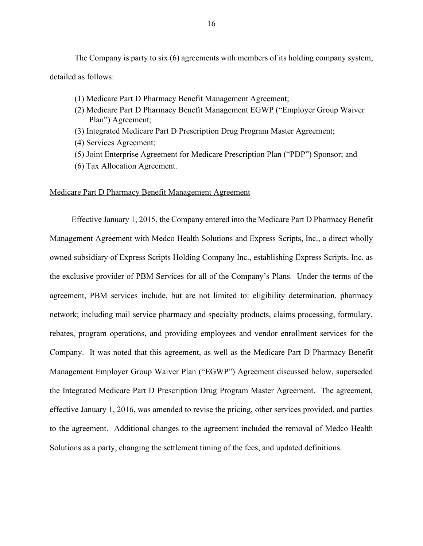The Company is party to six (6) agreements with members of its holding company system, detailed as follows:

- (1) Medicare Part D Pharmacy Benefit Management Agreement;
- (2) Medicare Part D Pharmacy Benefit Management EGWP ("Employer Group Waiver Plan") Agreement;
- (3) Integrated Medicare Part D Prescription Drug Program Master Agreement;
- (4) Services Agreement;
- (5) Joint Enterprise Agreement for Medicare Prescription Plan ("PDP") Sponsor; and
- (6) Tax Allocation Agreement.

#### Medicare Part D Pharmacy Benefit Management Agreement

Effective January 1, 2015, the Company entered into the Medicare Part D Pharmacy Benefit Management Agreement with Medco Health Solutions and Express Scripts, Inc., a direct wholly owned subsidiary of Express Scripts Holding Company Inc., establishing Express Scripts, Inc. as the exclusive provider of PBM Services for all of the Company's Plans. Under the terms of the agreement, PBM services include, but are not limited to: eligibility determination, pharmacy network; including mail service pharmacy and specialty products, claims processing, formulary, rebates, program operations, and providing employees and vendor enrollment services for the Company. It was noted that this agreement, as well as the Medicare Part D Pharmacy Benefit Management Employer Group Waiver Plan ("EGWP") Agreement discussed below, superseded the Integrated Medicare Part D Prescription Drug Program Master Agreement. The agreement, effective January 1, 2016, was amended to revise the pricing, other services provided, and parties to the agreement. Additional changes to the agreement included the removal of Medco Health Solutions as a party, changing the settlement timing of the fees, and updated definitions.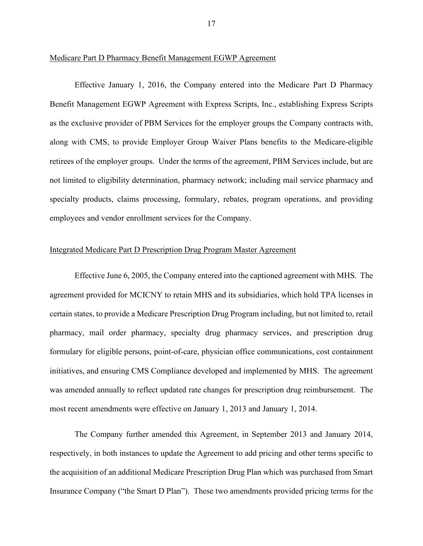#### Medicare Part D Pharmacy Benefit Management EGWP Agreement

Effective January 1, 2016, the Company entered into the Medicare Part D Pharmacy Benefit Management EGWP Agreement with Express Scripts, Inc., establishing Express Scripts as the exclusive provider of PBM Services for the employer groups the Company contracts with, along with CMS, to provide Employer Group Waiver Plans benefits to the Medicare-eligible retirees of the employer groups. Under the terms of the agreement, PBM Services include, but are not limited to eligibility determination, pharmacy network; including mail service pharmacy and specialty products, claims processing, formulary, rebates, program operations, and providing employees and vendor enrollment services for the Company.

#### Integrated Medicare Part D Prescription Drug Program Master Agreement

Effective June 6, 2005, the Company entered into the captioned agreement with MHS. The agreement provided for MCICNY to retain MHS and its subsidiaries, which hold TPA licenses in certain states, to provide a Medicare Prescription Drug Program including, but not limited to, retail pharmacy, mail order pharmacy, specialty drug pharmacy services, and prescription drug formulary for eligible persons, point-of-care, physician office communications, cost containment initiatives, and ensuring CMS Compliance developed and implemented by MHS. The agreement was amended annually to reflect updated rate changes for prescription drug reimbursement. The most recent amendments were effective on January 1, 2013 and January 1, 2014.

The Company further amended this Agreement, in September 2013 and January 2014, respectively, in both instances to update the Agreement to add pricing and other terms specific to the acquisition of an additional Medicare Prescription Drug Plan which was purchased from Smart Insurance Company ("the Smart D Plan"). These two amendments provided pricing terms for the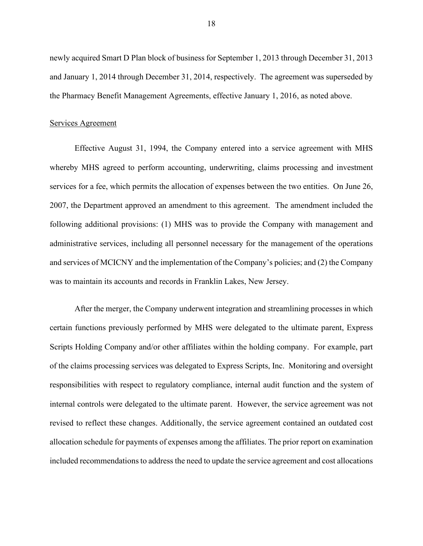newly acquired Smart D Plan block of business for September 1, 2013 through December 31, 2013 and January 1, 2014 through December 31, 2014, respectively. The agreement was superseded by the Pharmacy Benefit Management Agreements, effective January 1, 2016, as noted above.

#### Services Agreement

Effective August 31, 1994, the Company entered into a service agreement with MHS whereby MHS agreed to perform accounting, underwriting, claims processing and investment services for a fee, which permits the allocation of expenses between the two entities. On June 26, 2007, the Department approved an amendment to this agreement. The amendment included the following additional provisions: (1) MHS was to provide the Company with management and administrative services, including all personnel necessary for the management of the operations and services of MCICNY and the implementation of the Company's policies; and (2) the Company was to maintain its accounts and records in Franklin Lakes, New Jersey.

After the merger, the Company underwent integration and streamlining processes in which certain functions previously performed by MHS were delegated to the ultimate parent, Express Scripts Holding Company and/or other affiliates within the holding company. For example, part of the claims processing services was delegated to Express Scripts, Inc. Monitoring and oversight responsibilities with respect to regulatory compliance, internal audit function and the system of internal controls were delegated to the ultimate parent. However, the service agreement was not revised to reflect these changes. Additionally, the service agreement contained an outdated cost allocation schedule for payments of expenses among the affiliates. The prior report on examination included recommendations to address the need to update the service agreement and cost allocations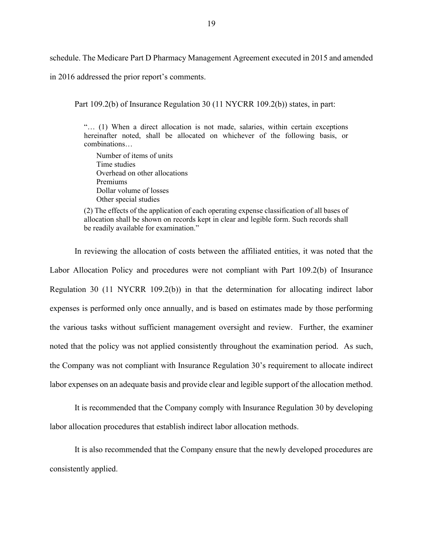schedule. The Medicare Part D Pharmacy Management Agreement executed in 2015 and amended

in 2016 addressed the prior report's comments.

Part 109.2(b) of Insurance Regulation 30 (11 NYCRR 109.2(b)) states, in part:

"… (1) When a direct allocation is not made, salaries, within certain exceptions hereinafter noted, shall be allocated on whichever of the following basis, or combinations…

Number of items of units Time studies Overhead on other allocations Premiums Dollar volume of losses Other special studies

(2) The effects of the application of each operating expense classification of all bases of allocation shall be shown on records kept in clear and legible form. Such records shall be readily available for examination."

In reviewing the allocation of costs between the affiliated entities, it was noted that the Labor Allocation Policy and procedures were not compliant with Part 109.2(b) of Insurance Regulation 30 (11 NYCRR 109.2(b)) in that the determination for allocating indirect labor expenses is performed only once annually, and is based on estimates made by those performing the various tasks without sufficient management oversight and review. Further, the examiner noted that the policy was not applied consistently throughout the examination period. As such, the Company was not compliant with Insurance Regulation 30's requirement to allocate indirect labor expenses on an adequate basis and provide clear and legible support of the allocation method.

It is recommended that the Company comply with Insurance Regulation 30 by developing labor allocation procedures that establish indirect labor allocation methods.

It is also recommended that the Company ensure that the newly developed procedures are consistently applied.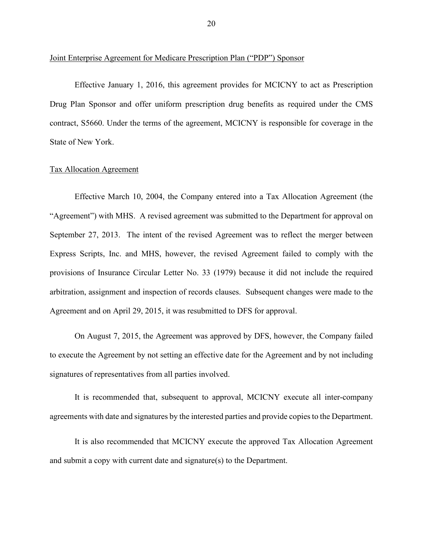Joint Enterprise Agreement for Medicare Prescription Plan ("PDP") Sponsor

Effective January 1, 2016, this agreement provides for MCICNY to act as Prescription Drug Plan Sponsor and offer uniform prescription drug benefits as required under the CMS contract, S5660. Under the terms of the agreement, MCICNY is responsible for coverage in the State of New York.

#### Tax Allocation Agreement

Effective March 10, 2004, the Company entered into a Tax Allocation Agreement (the "Agreement") with MHS. A revised agreement was submitted to the Department for approval on September 27, 2013. The intent of the revised Agreement was to reflect the merger between Express Scripts, Inc. and MHS, however, the revised Agreement failed to comply with the provisions of Insurance Circular Letter No. 33 (1979) because it did not include the required arbitration, assignment and inspection of records clauses. Subsequent changes were made to the Agreement and on April 29, 2015, it was resubmitted to DFS for approval.

On August 7, 2015, the Agreement was approved by DFS, however, the Company failed to execute the Agreement by not setting an effective date for the Agreement and by not including signatures of representatives from all parties involved.

It is recommended that, subsequent to approval, MCICNY execute all inter-company agreements with date and signatures by the interested parties and provide copies to the Department.

It is also recommended that MCICNY execute the approved Tax Allocation Agreement and submit a copy with current date and signature(s) to the Department.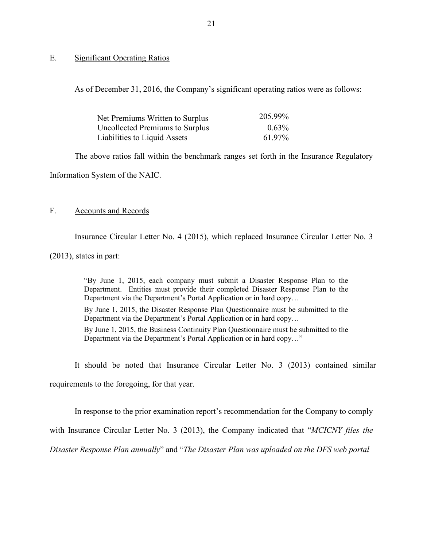#### E. Significant Operating Ratios

As of December 31, 2016, the Company's significant operating ratios were as follows:

| Net Premiums Written to Surplus | 205.99%  |
|---------------------------------|----------|
| Uncollected Premiums to Surplus | $0.63\%$ |
| Liabilities to Liquid Assets    | 61.97%   |

The above ratios fall within the benchmark ranges set forth in the Insurance Regulatory

Information System of the NAIC.

#### F. Accounts and Records

Insurance Circular Letter No. 4 (2015), which replaced Insurance Circular Letter No. 3

(2013), states in part:

"By June 1, 2015, each company must submit a Disaster Response Plan to the Department. Entities must provide their completed Disaster Response Plan to the Department via the Department's Portal Application or in hard copy…

By June 1, 2015, the Disaster Response Plan Questionnaire must be submitted to the Department via the Department's Portal Application or in hard copy…

By June 1, 2015, the Business Continuity Plan Questionnaire must be submitted to the Department via the Department's Portal Application or in hard copy…"

It should be noted that Insurance Circular Letter No. 3 (2013) contained similar

requirements to the foregoing, for that year.

In response to the prior examination report's recommendation for the Company to comply

with Insurance Circular Letter No. 3 (2013), the Company indicated that "*MCICNY files the* 

*Disaster Response Plan annually*" and "*The Disaster Plan was uploaded on the DFS web portal*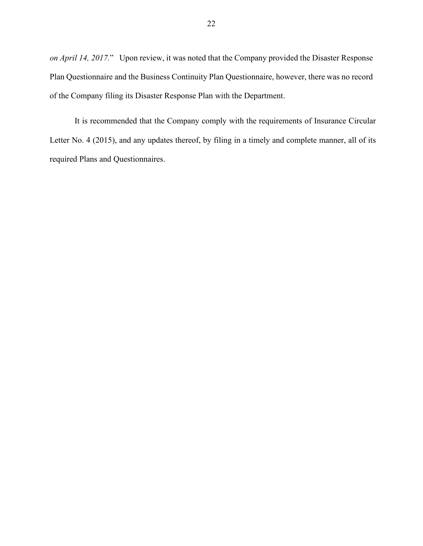*on April 14, 2017.*" Upon review, it was noted that the Company provided the Disaster Response Plan Questionnaire and the Business Continuity Plan Questionnaire, however, there was no record of the Company filing its Disaster Response Plan with the Department.

It is recommended that the Company comply with the requirements of Insurance Circular Letter No. 4 (2015), and any updates thereof, by filing in a timely and complete manner, all of its required Plans and Questionnaires.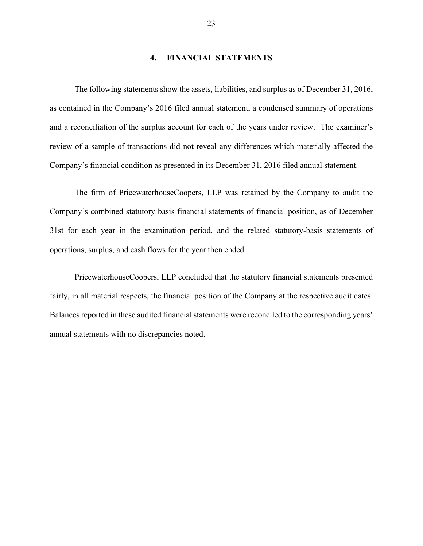#### **4. FINANCIAL STATEMENTS**

The following statements show the assets, liabilities, and surplus as of December 31, 2016, as contained in the Company's 2016 filed annual statement, a condensed summary of operations and a reconciliation of the surplus account for each of the years under review. The examiner's review of a sample of transactions did not reveal any differences which materially affected the Company's financial condition as presented in its December 31, 2016 filed annual statement.

The firm of PricewaterhouseCoopers, LLP was retained by the Company to audit the Company's combined statutory basis financial statements of financial position, as of December 31st for each year in the examination period, and the related statutory-basis statements of operations, surplus, and cash flows for the year then ended.

PricewaterhouseCoopers, LLP concluded that the statutory financial statements presented fairly, in all material respects, the financial position of the Company at the respective audit dates. Balances reported in these audited financial statements were reconciled to the corresponding years' annual statements with no discrepancies noted.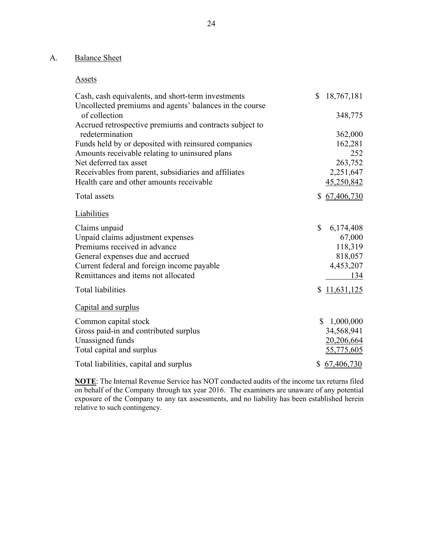## A. Balance Sheet

#### Assets

| Cash, cash equivalents, and short-term investments<br>Uncollected premiums and agents' balances in the course | \$           | 18,767,181   |
|---------------------------------------------------------------------------------------------------------------|--------------|--------------|
| of collection                                                                                                 |              | 348,775      |
| Accrued retrospective premiums and contracts subject to                                                       |              |              |
| redetermination                                                                                               |              | 362,000      |
| Funds held by or deposited with reinsured companies                                                           |              | 162,281      |
| Amounts receivable relating to uninsured plans                                                                |              | 252          |
| Net deferred tax asset                                                                                        |              | 263,752      |
| Receivables from parent, subsidiaries and affiliates                                                          |              | 2,251,647    |
| Health care and other amounts receivable                                                                      |              | 45,250,842   |
| Total assets                                                                                                  | \$           | 67,406,730   |
| Liabilities                                                                                                   |              |              |
| Claims unpaid                                                                                                 | \$           | 6,174,408    |
| Unpaid claims adjustment expenses                                                                             |              | 67,000       |
| Premiums received in advance                                                                                  |              | 118,319      |
| General expenses due and accrued                                                                              |              | 818,057      |
| Current federal and foreign income payable                                                                    |              | 4,453,207    |
| Remittances and items not allocated                                                                           |              | 134          |
| <b>Total liabilities</b>                                                                                      |              | \$11,631,125 |
| Capital and surplus                                                                                           |              |              |
| Common capital stock                                                                                          | $\mathbb{S}$ | 1,000,000    |
| Gross paid-in and contributed surplus                                                                         |              | 34,568,941   |
| Unassigned funds                                                                                              |              | 20,206,664   |
| Total capital and surplus                                                                                     |              | 55,775,605   |
| Total liabilities, capital and surplus                                                                        |              | \$67,406,730 |

**NOTE**: The Internal Revenue Service has NOT conducted audits of the income tax returns filed on behalf of the Company through tax year 2016. The examiners are unaware of any potential exposure of the Company to any tax assessments, and no liability has been established herein relative to such contingency.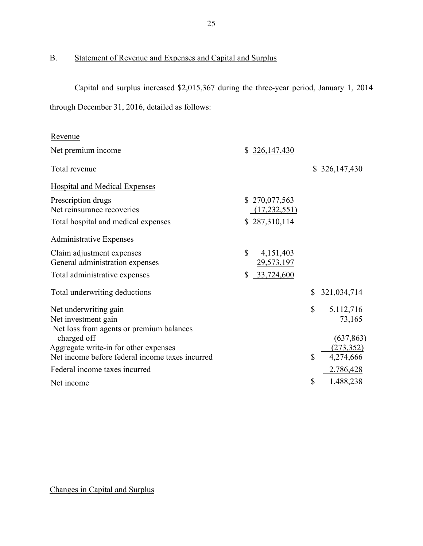## B. Statement of Revenue and Expenses and Capital and Surplus

Capital and surplus increased \$2,015,367 during the three-year period, January 1, 2014 through December 31, 2016, detailed as follows:

| Revenue                                                                                  |                                         |              |                         |
|------------------------------------------------------------------------------------------|-----------------------------------------|--------------|-------------------------|
| Net premium income                                                                       | \$326,147,430                           |              |                         |
| Total revenue                                                                            |                                         |              | \$326,147,430           |
| <b>Hospital and Medical Expenses</b>                                                     |                                         |              |                         |
| Prescription drugs<br>Net reinsurance recoveries                                         | \$270,077,563<br>(17, 232, 551)         |              |                         |
| Total hospital and medical expenses                                                      | \$287,310,114                           |              |                         |
| <b>Administrative Expenses</b>                                                           |                                         |              |                         |
| Claim adjustment expenses<br>General administration expenses                             | $\mathbb{S}$<br>4,151,403<br>29,573,197 |              |                         |
| Total administrative expenses                                                            | 33,724,600<br>\$                        |              |                         |
| Total underwriting deductions                                                            |                                         | \$           | 321,034,714             |
| Net underwriting gain<br>Net investment gain<br>Net loss from agents or premium balances |                                         | $\mathbb{S}$ | 5,112,716<br>73,165     |
| charged off                                                                              |                                         |              | (637, 863)              |
| Aggregate write-in for other expenses<br>Net income before federal income taxes incurred |                                         | \$           | (273, 352)<br>4,274,666 |
| Federal income taxes incurred                                                            |                                         |              | 2,786,428               |
| Net income                                                                               |                                         | \$           | 1,488,238               |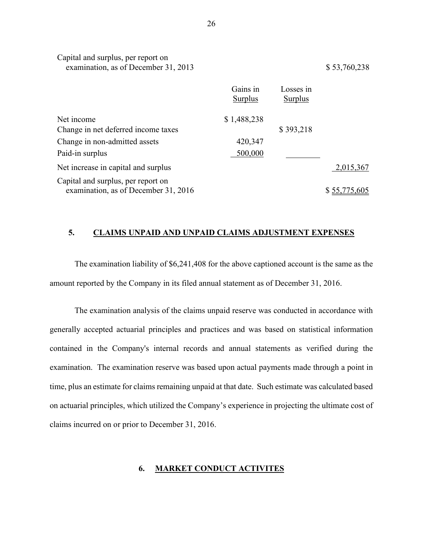| Capital and surplus, per report on<br>examination, as of December 31, 2013 |                            |                             | \$53,760,238 |
|----------------------------------------------------------------------------|----------------------------|-----------------------------|--------------|
|                                                                            | Gains in<br><b>Surplus</b> | Losses in<br><b>Surplus</b> |              |
| Net income                                                                 | \$1,488,238                |                             |              |
| Change in net deferred income taxes                                        |                            | \$393,218                   |              |
| Change in non-admitted assets                                              | 420,347                    |                             |              |
| Paid-in surplus                                                            | 500,000                    |                             |              |
| Net increase in capital and surplus                                        |                            |                             | 2,015,367    |
| Capital and surplus, per report on<br>examination, as of December 31, 2016 |                            |                             | \$55,775,605 |

#### **5. CLAIMS UNPAID AND UNPAID CLAIMS ADJUSTMENT EXPENSES**

The examination liability of \$6,241,408 for the above captioned account is the same as the amount reported by the Company in its filed annual statement as of December 31, 2016.

The examination analysis of the claims unpaid reserve was conducted in accordance with generally accepted actuarial principles and practices and was based on statistical information contained in the Company's internal records and annual statements as verified during the examination. The examination reserve was based upon actual payments made through a point in time, plus an estimate for claims remaining unpaid at that date. Such estimate was calculated based on actuarial principles, which utilized the Company's experience in projecting the ultimate cost of claims incurred on or prior to December 31, 2016.

#### **6. MARKET CONDUCT ACTIVITES**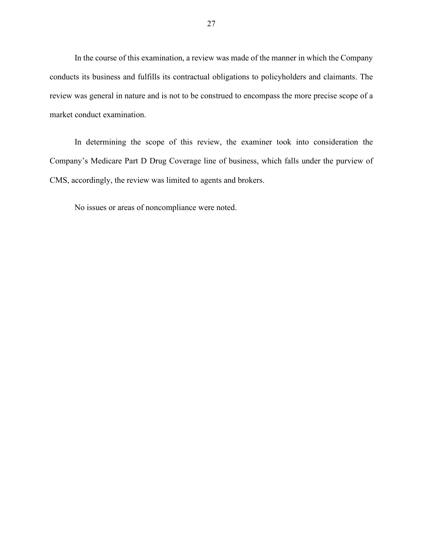In the course of this examination, a review was made of the manner in which the Company conducts its business and fulfills its contractual obligations to policyholders and claimants. The review was general in nature and is not to be construed to encompass the more precise scope of a market conduct examination.

In determining the scope of this review, the examiner took into consideration the Company's Medicare Part D Drug Coverage line of business, which falls under the purview of CMS, accordingly, the review was limited to agents and brokers.

No issues or areas of noncompliance were noted.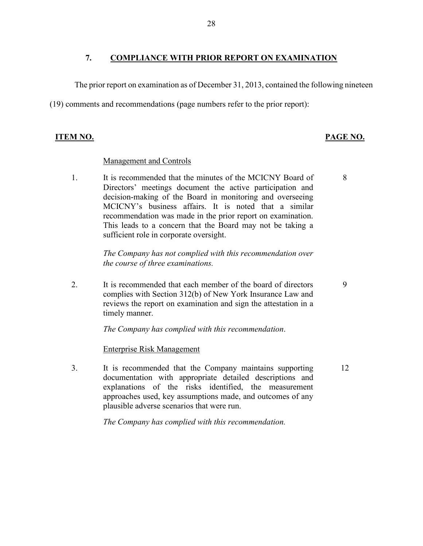### **7. COMPLIANCE WITH PRIOR REPORT ON EXAMINATION**

The prior report on examination as of December 31, 2013, contained the following nineteen

(19) comments and recommendations (page numbers refer to the prior report):

### **ITEM NO. PAGE NO.**

#### Management and Controls

1. It is recommended that the minutes of the MCICNY Board of Directors' meetings document the active participation and decision-making of the Board in monitoring and overseeing MCICNY's business affairs. It is noted that a similar recommendation was made in the prior report on examination. This leads to a concern that the Board may not be taking a sufficient role in corporate oversight.

> *The Company has not complied with this recommendation over the course of three examinations.*

2. It is recommended that each member of the board of directors complies with Section 312(b) of New York Insurance Law and reviews the report on examination and sign the attestation in a timely manner.

*The Company has complied with this recommendation*.

### Enterprise Risk Management

3. It is recommended that the Company maintains supporting documentation with appropriate detailed descriptions and explanations of the risks identified, the measurement approaches used, key assumptions made, and outcomes of any plausible adverse scenarios that were run. 12

*The Company has complied with this recommendation.*

8

9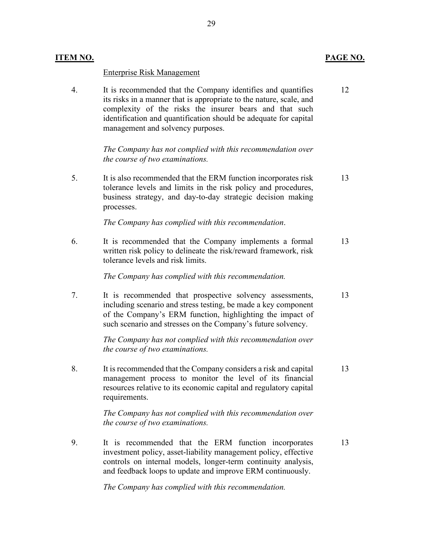#### Enterprise Risk Management

4. It is recommended that the Company identifies and quantifies its risks in a manner that is appropriate to the nature, scale, and complexity of the risks the insurer bears and that such identification and quantification should be adequate for capital management and solvency purposes. 12

> *The Company has not complied with this recommendation over the course of two examinations.*

5. It is also recommended that the ERM function incorporates risk tolerance levels and limits in the risk policy and procedures, business strategy, and day-to-day strategic decision making processes. 13

*The Company has complied with this recommendation*.

6. It is recommended that the Company implements a formal written risk policy to delineate the risk/reward framework, risk tolerance levels and risk limits. 13

*The Company has complied with this recommendation.*

7. It is recommended that prospective solvency assessments, including scenario and stress testing, be made a key component of the Company's ERM function, highlighting the impact of such scenario and stresses on the Company's future solvency. 13

> *The Company has not complied with this recommendation over the course of two examinations.*

8. It is recommended that the Company considers a risk and capital management process to monitor the level of its financial resources relative to its economic capital and regulatory capital requirements. 13

> *The Company has not complied with this recommendation over the course of two examinations.*

9. It is recommended that the ERM function incorporates investment policy, asset-liability management policy, effective controls on internal models, longer-term continuity analysis, and feedback loops to update and improve ERM continuously. 13

*The Company has complied with this recommendation.*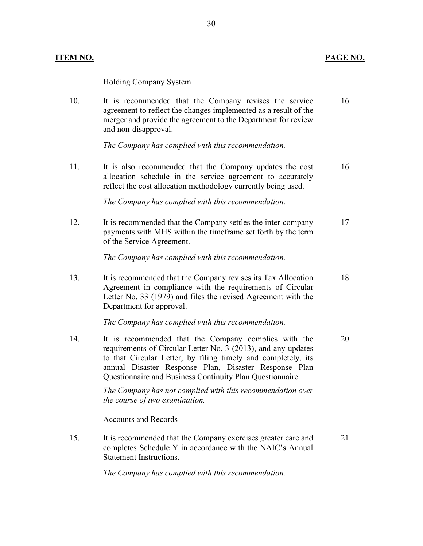#### Holding Company System

10. It is recommended that the Company revises the service agreement to reflect the changes implemented as a result of the merger and provide the agreement to the Department for review and non-disapproval. 16

*The Company has complied with this recommendation.* 

11. It is also recommended that the Company updates the cost allocation schedule in the service agreement to accurately reflect the cost allocation methodology currently being used. 16

*The Company has complied with this recommendation.* 

12. It is recommended that the Company settles the inter-company payments with MHS within the timeframe set forth by the term of the Service Agreement. 17

*The Company has complied with this recommendation.*

13. It is recommended that the Company revises its Tax Allocation Agreement in compliance with the requirements of Circular Letter No. 33 (1979) and files the revised Agreement with the Department for approval. 18

*The Company has complied with this recommendation.*

14. It is recommended that the Company complies with the requirements of Circular Letter No. 3 (2013), and any updates to that Circular Letter, by filing timely and completely, its annual Disaster Response Plan, Disaster Response Plan Questionnaire and Business Continuity Plan Questionnaire. 20

> *The Company has not complied with this recommendation over the course of two examination.*

Accounts and Records

15. It is recommended that the Company exercises greater care and completes Schedule Y in accordance with the NAIC's Annual Statement Instructions. 21

*The Company has complied with this recommendation.*

#### **ITEM NO. PAGE NO.**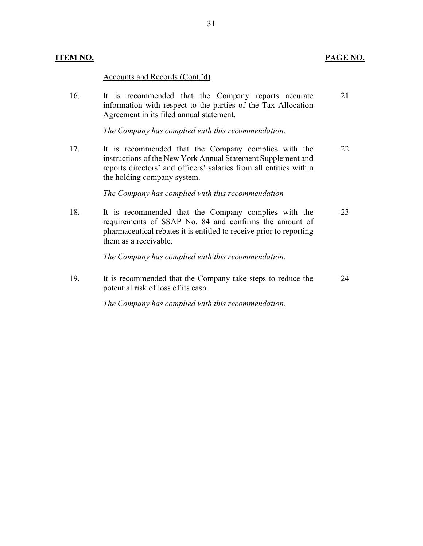#### **ITEM NO. PAGE NO.**

Accounts and Records (Cont.'d)

16. It is recommended that the Company reports accurate information with respect to the parties of the Tax Allocation Agreement in its filed annual statement. 21

*The Company has complied with this recommendation.* 

17. It is recommended that the Company complies with the instructions of the New York Annual Statement Supplement and reports directors' and officers' salaries from all entities within the holding company system. 22

*The Company has complied with this recommendation*

18. It is recommended that the Company complies with the requirements of SSAP No. 84 and confirms the amount of pharmaceutical rebates it is entitled to receive prior to reporting them as a receivable. 23

*The Company has complied with this recommendation.*

19. It is recommended that the Company take steps to reduce the potential risk of loss of its cash. 24

*The Company has complied with this recommendation.*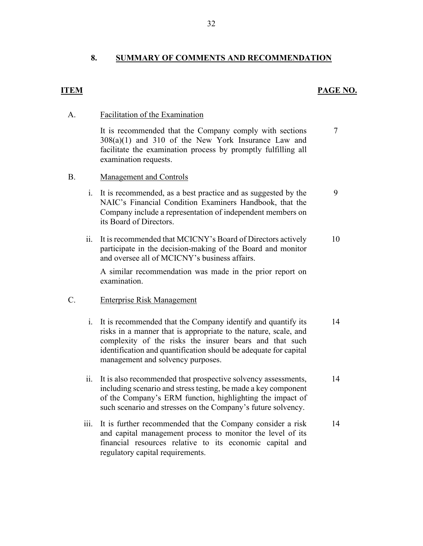### **8. SUMMARY OF COMMENTS AND RECOMMENDATION**

### **ITEM PAGE NO.**

7

9

#### A. Facilitation of the Examination

It is recommended that the Company comply with sections 308(a)(1) and 310 of the New York Insurance Law and facilitate the examination process by promptly fulfilling all examination requests.

- B. Management and Controls
	- i. It is recommended, as a best practice and as suggested by the NAIC's Financial Condition Examiners Handbook, that the Company include a representation of independent members on its Board of Directors.
	- ii. It is recommended that MCICNY's Board of Directors actively participate in the decision-making of the Board and monitor and oversee all of MCICNY's business affairs. 10

A similar recommendation was made in the prior report on examination.

#### C. Enterprise Risk Management

- i. It is recommended that the Company identify and quantify its risks in a manner that is appropriate to the nature, scale, and complexity of the risks the insurer bears and that such identification and quantification should be adequate for capital management and solvency purposes. 14
- ii. It is also recommended that prospective solvency assessments, including scenario and stress testing, be made a key component of the Company's ERM function, highlighting the impact of such scenario and stresses on the Company's future solvency. 14
- iii. It is further recommended that the Company consider a risk and capital management process to monitor the level of its financial resources relative to its economic capital and regulatory capital requirements. 14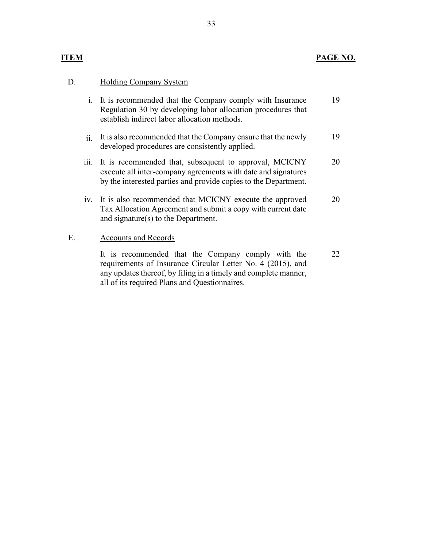## **ITEM PAGE NO.**

## D. Holding Company System

|    |      | i. It is recommended that the Company comply with Insurance<br>Regulation 30 by developing labor allocation procedures that<br>establish indirect labor allocation methods.                | 19 |
|----|------|--------------------------------------------------------------------------------------------------------------------------------------------------------------------------------------------|----|
|    | ii.  | It is also recommended that the Company ensure that the newly<br>developed procedures are consistently applied.                                                                            | 19 |
|    | iii. | It is recommended that, subsequent to approval, MCICNY<br>execute all inter-company agreements with date and signatures<br>by the interested parties and provide copies to the Department. | 20 |
|    |      | iv. It is also recommended that MCICNY execute the approved<br>Tax Allocation Agreement and submit a copy with current date<br>and signature(s) to the Department.                         | 20 |
| E. |      | <b>Accounts and Records</b>                                                                                                                                                                |    |

It is recommended that the Company comply with the requirements of Insurance Circular Letter No. 4 (2015), and any updates thereof, by filing in a timely and complete manner, all of its required Plans and Questionnaires. 22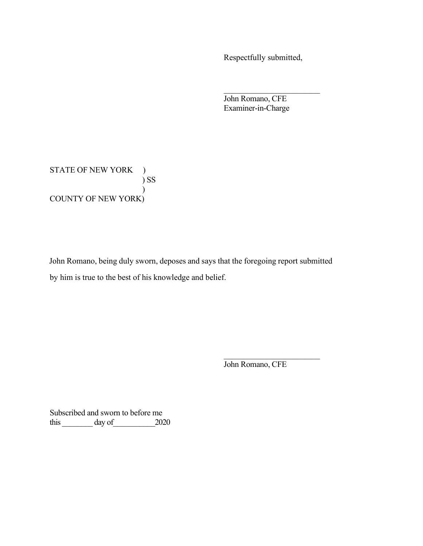Respectfully submitted,

John Romano, CFE Examiner-in-Charge

STATE OF NEW YORK ) ) SS  $\overline{\phantom{a}}$ COUNTY OF NEW YORK)

John Romano, being duly sworn, deposes and says that the foregoing report submitted by him is true to the best of his knowledge and belief.

John Romano, CFE

Subscribed and sworn to before me this day of 2020